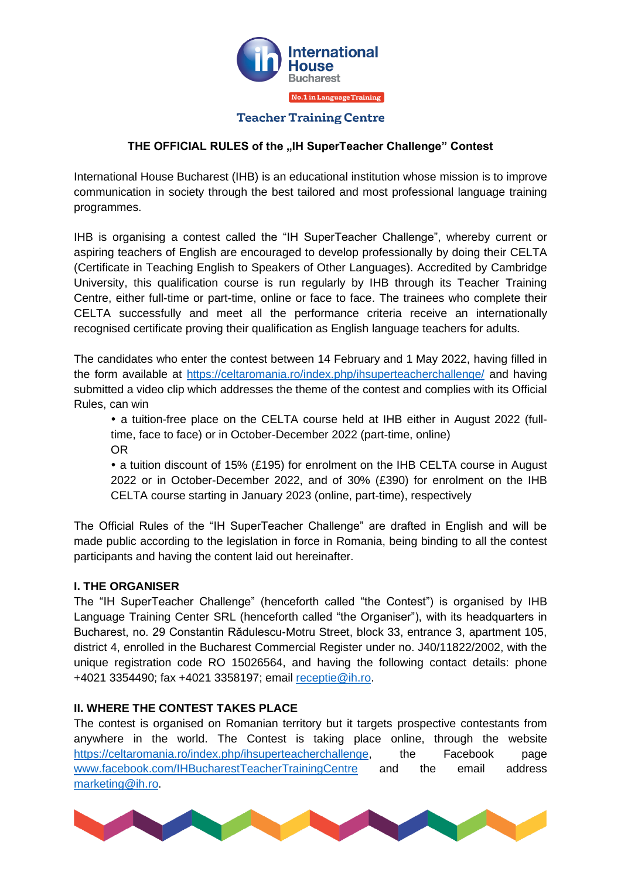

### **THE OFFICIAL RULES of the "IH SuperTeacher Challenge" Contest**

International House Bucharest (IHB) is an educational institution whose mission is to improve communication in society through the best tailored and most professional language training programmes.

IHB is organising a contest called the "IH SuperTeacher Challenge", whereby current or aspiring teachers of English are encouraged to develop professionally by doing their CELTA (Certificate in Teaching English to Speakers of Other Languages). Accredited by Cambridge University, this qualification course is run regularly by IHB through its Teacher Training Centre, either full-time or part-time, online or face to face. The trainees who complete their CELTA successfully and meet all the performance criteria receive an internationally recognised certificate proving their qualification as English language teachers for adults.

The candidates who enter the contest between 14 February and 1 May 2022, having filled in the form available at<https://celtaromania.ro/index.php/ihsuperteacherchallenge/> and having submitted a video clip which addresses the theme of the contest and complies with its Official Rules, can win

 a tuition-free place on the CELTA course held at IHB either in August 2022 (fulltime, face to face) or in October-December 2022 (part-time, online) OR

 a tuition discount of 15% (£195) for enrolment on the IHB CELTA course in August 2022 or in October-December 2022, and of 30% (£390) for enrolment on the IHB CELTA course starting in January 2023 (online, part-time), respectively

The Official Rules of the "IH SuperTeacher Challenge" are drafted in English and will be made public according to the legislation in force in Romania, being binding to all the contest participants and having the content laid out hereinafter.

#### **I. THE ORGANISER**

The "IH SuperTeacher Challenge" (henceforth called "the Contest") is organised by IHB Language Training Center SRL (henceforth called "the Organiser"), with its headquarters in Bucharest, no. 29 Constantin Rădulescu-Motru Street, block 33, entrance 3, apartment 105, district 4, enrolled in the Bucharest Commercial Register under no. J40/11822/2002, with the unique registration code RO 15026564, and having the following contact details: phone +4021 3354490; fax +4021 3358197; email [receptie@ih.ro.](mailto:receptie@ih.ro)

### **II. WHERE THE CONTEST TAKES PLACE**

The contest is organised on Romanian territory but it targets prospective contestants from anywhere in the world. The Contest is taking place online, through the website [https://celtaromania.ro/index.php/ihsuperteacherchallenge,](https://celtaromania.ro/index.php/ihsuperteacherchallenge) the Facebook page [www.facebook.com/IHBucharestTeacherTrainingCentre](http://www.facebook.com/IHBucharestTeacherTrainingCentre) and the email address [marketing@ih.ro.](mailto:marketing@ih.ro)

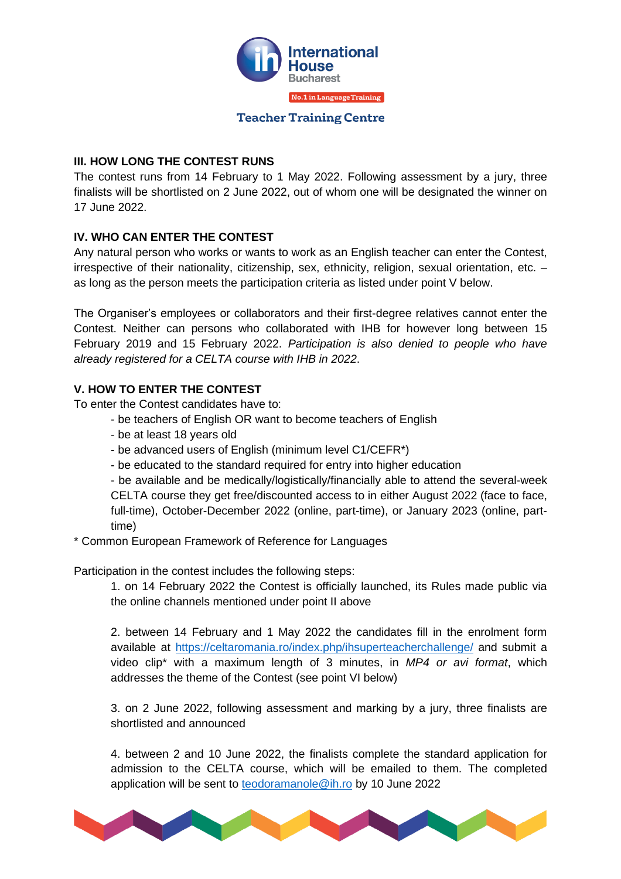

### **III. HOW LONG THE CONTEST RUNS**

The contest runs from 14 February to 1 May 2022. Following assessment by a jury, three finalists will be shortlisted on 2 June 2022, out of whom one will be designated the winner on 17 June 2022.

# **IV. WHO CAN ENTER THE CONTEST**

Any natural person who works or wants to work as an English teacher can enter the Contest, irrespective of their nationality, citizenship, sex, ethnicity, religion, sexual orientation, etc. – as long as the person meets the participation criteria as listed under point V below.

The Organiser's employees or collaborators and their first-degree relatives cannot enter the Contest. Neither can persons who collaborated with IHB for however long between 15 February 2019 and 15 February 2022. *Participation is also denied to people who have already registered for a CELTA course with IHB in 2022*.

# **V. HOW TO ENTER THE CONTEST**

To enter the Contest candidates have to:

- be teachers of English OR want to become teachers of English
- be at least 18 years old
- be advanced users of English (minimum level C1/CEFR\*)
- be educated to the standard required for entry into higher education

- be available and be medically/logistically/financially able to attend the several-week CELTA course they get free/discounted access to in either August 2022 (face to face, full-time), October-December 2022 (online, part-time), or January 2023 (online, parttime)

\* Common European Framework of Reference for Languages

Participation in the contest includes the following steps:

1. on 14 February 2022 the Contest is officially launched, its Rules made public via the online channels mentioned under point II above

2. between 14 February and 1 May 2022 the candidates fill in the enrolment form available at<https://celtaromania.ro/index.php/ihsuperteacherchallenge/> and submit a video clip\* with a maximum length of 3 minutes, in *MP4 or avi format*, which addresses the theme of the Contest (see point VI below)

3. on 2 June 2022, following assessment and marking by a jury, three finalists are shortlisted and announced

4. between 2 and 10 June 2022, the finalists complete the standard application for admission to the CELTA course, which will be emailed to them. The completed application will be sent to [teodoramanole@ih.ro](mailto:teodoramanole@ih.ro) by 10 June 2022

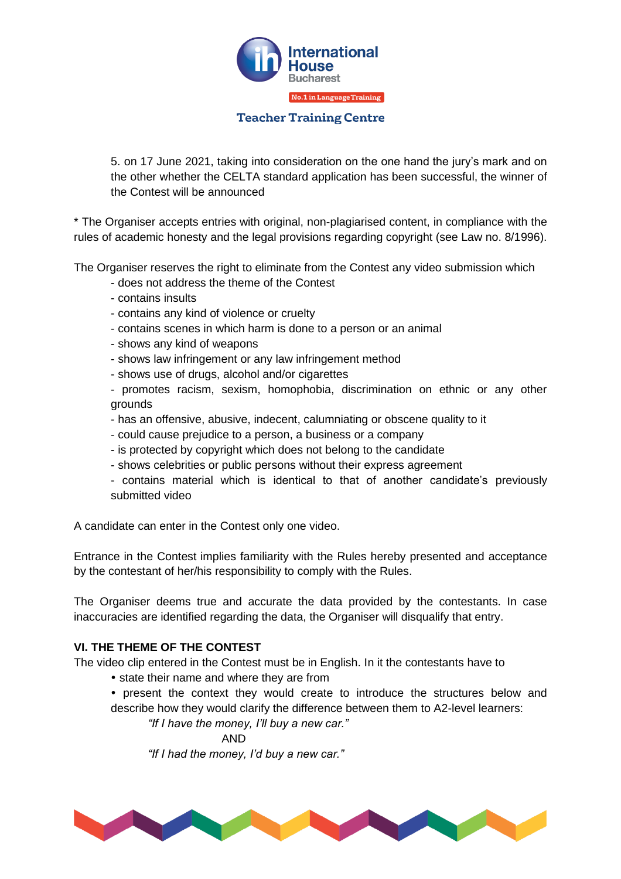

5. on 17 June 2021, taking into consideration on the one hand the jury's mark and on the other whether the CELTA standard application has been successful, the winner of the Contest will be announced

\* The Organiser accepts entries with original, non-plagiarised content, in compliance with the rules of academic honesty and the legal provisions regarding copyright (see Law no. 8/1996).

The Organiser reserves the right to eliminate from the Contest any video submission which

- does not address the theme of the Contest
- contains insults
- contains any kind of violence or cruelty
- contains scenes in which harm is done to a person or an animal
- shows any kind of weapons
- shows law infringement or any law infringement method
- shows use of drugs, alcohol and/or cigarettes
- promotes racism, sexism, homophobia, discrimination on ethnic or any other grounds
- has an offensive, abusive, indecent, calumniating or obscene quality to it
- could cause prejudice to a person, a business or a company
- is protected by copyright which does not belong to the candidate
- shows celebrities or public persons without their express agreement
- contains material which is identical to that of another candidate's previously submitted video

A candidate can enter in the Contest only one video.

Entrance in the Contest implies familiarity with the Rules hereby presented and acceptance by the contestant of her/his responsibility to comply with the Rules.

The Organiser deems true and accurate the data provided by the contestants. In case inaccuracies are identified regarding the data, the Organiser will disqualify that entry.

#### **VI. THE THEME OF THE CONTEST**

The video clip entered in the Contest must be in English. In it the contestants have to

- state their name and where they are from
- present the context they would create to introduce the structures below and describe how they would clarify the difference between them to A2-level learners:

*"If I have the money, I'll buy a new car."*

AND

*"If I had the money, I'd buy a new car."*

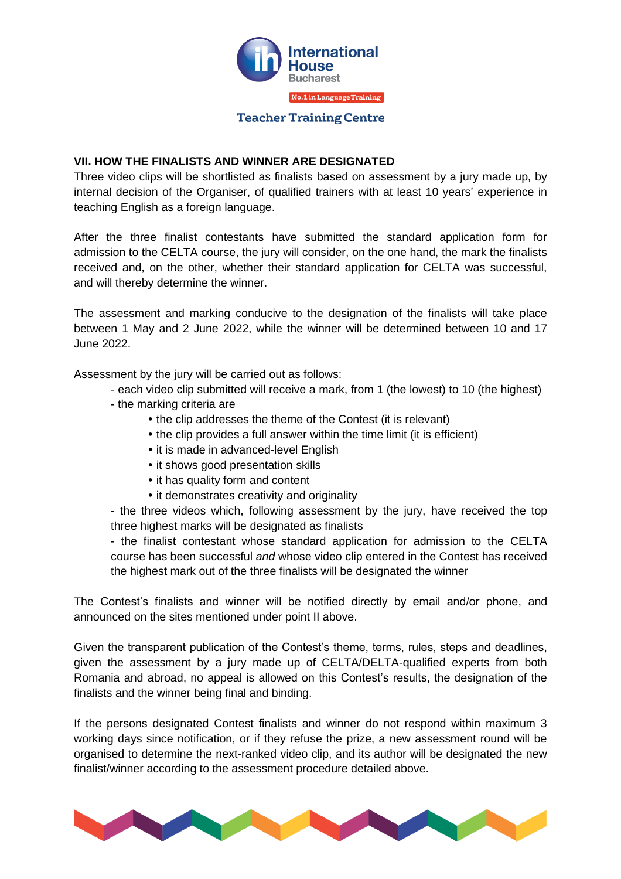

### **VII. HOW THE FINALISTS AND WINNER ARE DESIGNATED**

Three video clips will be shortlisted as finalists based on assessment by a jury made up, by internal decision of the Organiser, of qualified trainers with at least 10 years' experience in teaching English as a foreign language.

After the three finalist contestants have submitted the standard application form for admission to the CELTA course, the jury will consider, on the one hand, the mark the finalists received and, on the other, whether their standard application for CELTA was successful, and will thereby determine the winner.

The assessment and marking conducive to the designation of the finalists will take place between 1 May and 2 June 2022, while the winner will be determined between 10 and 17 June 2022.

Assessment by the jury will be carried out as follows:

- each video clip submitted will receive a mark, from 1 (the lowest) to 10 (the highest)
- the marking criteria are
	- the clip addresses the theme of the Contest (it is relevant)
	- the clip provides a full answer within the time limit (it is efficient)
	- it is made in advanced-level English
	- it shows good presentation skills
	- it has quality form and content
	- it demonstrates creativity and originality

- the three videos which, following assessment by the jury, have received the top three highest marks will be designated as finalists

- the finalist contestant whose standard application for admission to the CELTA course has been successful *and* whose video clip entered in the Contest has received the highest mark out of the three finalists will be designated the winner

The Contest's finalists and winner will be notified directly by email and/or phone, and announced on the sites mentioned under point II above.

Given the transparent publication of the Contest's theme, terms, rules, steps and deadlines, given the assessment by a jury made up of CELTA/DELTA-qualified experts from both Romania and abroad, no appeal is allowed on this Contest's results, the designation of the finalists and the winner being final and binding.

If the persons designated Contest finalists and winner do not respond within maximum 3 working days since notification, or if they refuse the prize, a new assessment round will be organised to determine the next-ranked video clip, and its author will be designated the new finalist/winner according to the assessment procedure detailed above.

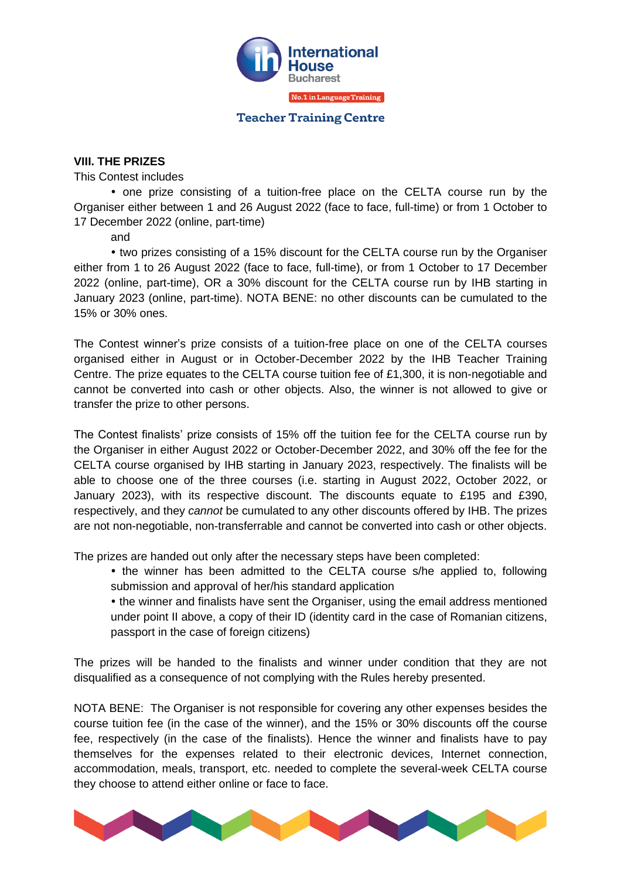

#### **VIII. THE PRIZES**

This Contest includes

 one prize consisting of a tuition-free place on the CELTA course run by the Organiser either between 1 and 26 August 2022 (face to face, full-time) or from 1 October to 17 December 2022 (online, part-time)

and

 two prizes consisting of a 15% discount for the CELTA course run by the Organiser either from 1 to 26 August 2022 (face to face, full-time), or from 1 October to 17 December 2022 (online, part-time), OR a 30% discount for the CELTA course run by IHB starting in January 2023 (online, part-time). NOTA BENE: no other discounts can be cumulated to the 15% or 30% ones.

The Contest winner's prize consists of a tuition-free place on one of the CELTA courses organised either in August or in October-December 2022 by the IHB Teacher Training Centre. The prize equates to the CELTA course tuition fee of £1,300, it is non-negotiable and cannot be converted into cash or other objects. Also, the winner is not allowed to give or transfer the prize to other persons.

The Contest finalists' prize consists of 15% off the tuition fee for the CELTA course run by the Organiser in either August 2022 or October-December 2022, and 30% off the fee for the CELTA course organised by IHB starting in January 2023, respectively. The finalists will be able to choose one of the three courses (i.e. starting in August 2022, October 2022, or January 2023), with its respective discount. The discounts equate to £195 and £390, respectively, and they *cannot* be cumulated to any other discounts offered by IHB. The prizes are not non-negotiable, non-transferrable and cannot be converted into cash or other objects.

The prizes are handed out only after the necessary steps have been completed:

• the winner has been admitted to the CELTA course s/he applied to, following submission and approval of her/his standard application

 the winner and finalists have sent the Organiser, using the email address mentioned under point II above, a copy of their ID (identity card in the case of Romanian citizens, passport in the case of foreign citizens)

The prizes will be handed to the finalists and winner under condition that they are not disqualified as a consequence of not complying with the Rules hereby presented.

NOTA BENE: The Organiser is not responsible for covering any other expenses besides the course tuition fee (in the case of the winner), and the 15% or 30% discounts off the course fee, respectively (in the case of the finalists). Hence the winner and finalists have to pay themselves for the expenses related to their electronic devices, Internet connection, accommodation, meals, transport, etc. needed to complete the several-week CELTA course they choose to attend either online or face to face.

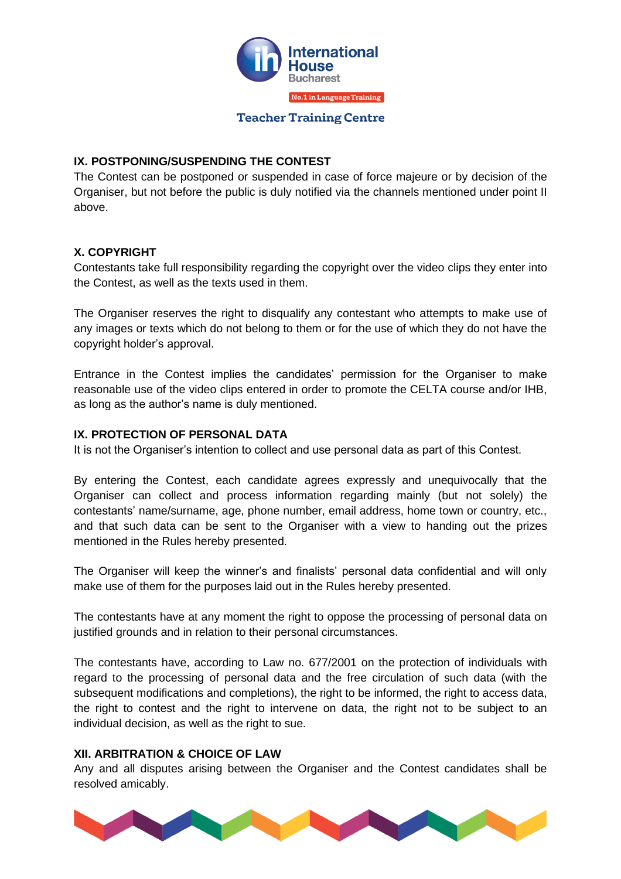

# **IX. POSTPONING/SUSPENDING THE CONTEST**

The Contest can be postponed or suspended in case of force majeure or by decision of the Organiser, but not before the public is duly notified via the channels mentioned under point II above.

### **X. COPYRIGHT**

Contestants take full responsibility regarding the copyright over the video clips they enter into the Contest, as well as the texts used in them.

The Organiser reserves the right to disqualify any contestant who attempts to make use of any images or texts which do not belong to them or for the use of which they do not have the copyright holder's approval.

Entrance in the Contest implies the candidates' permission for the Organiser to make reasonable use of the video clips entered in order to promote the CELTA course and/or IHB, as long as the author's name is duly mentioned.

# **IX. PROTECTION OF PERSONAL DATA**

It is not the Organiser's intention to collect and use personal data as part of this Contest.

By entering the Contest, each candidate agrees expressly and unequivocally that the Organiser can collect and process information regarding mainly (but not solely) the contestants' name/surname, age, phone number, email address, home town or country, etc., and that such data can be sent to the Organiser with a view to handing out the prizes mentioned in the Rules hereby presented.

The Organiser will keep the winner's and finalists' personal data confidential and will only make use of them for the purposes laid out in the Rules hereby presented.

The contestants have at any moment the right to oppose the processing of personal data on justified grounds and in relation to their personal circumstances.

The contestants have, according to Law no. 677/2001 on the protection of individuals with regard to the processing of personal data and the free circulation of such data (with the subsequent modifications and completions), the right to be informed, the right to access data, the right to contest and the right to intervene on data, the right not to be subject to an individual decision, as well as the right to sue.

#### **XII. ARBITRATION & CHOICE OF LAW**

Any and all disputes arising between the Organiser and the Contest candidates shall be resolved amicably.